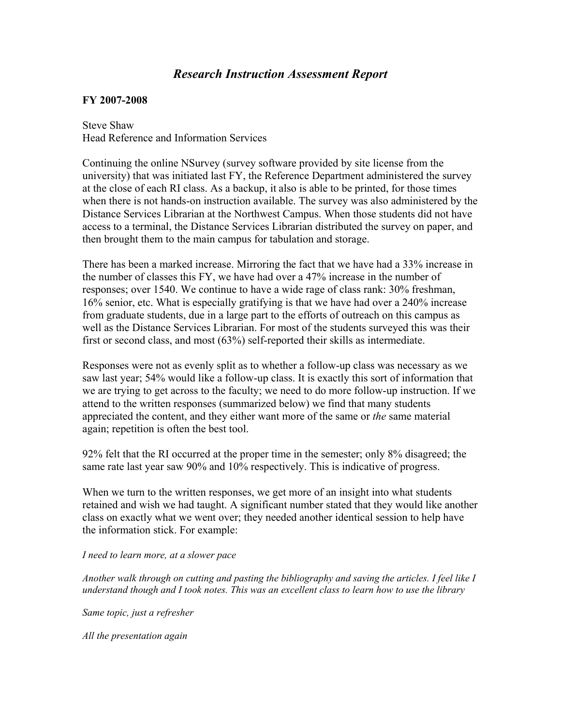## *Research Instruction Assessment Report*

## **FY 2007-2008**

Steve Shaw Head Reference and Information Services

Continuing the online NSurvey (survey software provided by site license from the university) that was initiated last FY, the Reference Department administered the survey at the close of each RI class. As a backup, it also is able to be printed, for those times when there is not hands-on instruction available. The survey was also administered by the Distance Services Librarian at the Northwest Campus. When those students did not have access to a terminal, the Distance Services Librarian distributed the survey on paper, and then brought them to the main campus for tabulation and storage.

There has been a marked increase. Mirroring the fact that we have had a 33% increase in the number of classes this FY, we have had over a 47% increase in the number of responses; over 1540. We continue to have a wide rage of class rank: 30% freshman, 16% senior, etc. What is especially gratifying is that we have had over a 240% increase from graduate students, due in a large part to the efforts of outreach on this campus as well as the Distance Services Librarian. For most of the students surveyed this was their first or second class, and most (63%) self-reported their skills as intermediate.

Responses were not as evenly split as to whether a follow-up class was necessary as we saw last year; 54% would like a follow-up class. It is exactly this sort of information that we are trying to get across to the faculty; we need to do more follow-up instruction. If we attend to the written responses (summarized below) we find that many students appreciated the content, and they either want more of the same or *the* same material again; repetition is often the best tool.

92% felt that the RI occurred at the proper time in the semester; only 8% disagreed; the same rate last year saw 90% and 10% respectively. This is indicative of progress.

When we turn to the written responses, we get more of an insight into what students retained and wish we had taught. A significant number stated that they would like another class on exactly what we went over; they needed another identical session to help have the information stick. For example:

## *I need to learn more, at a slower pace*

*Another walk through on cutting and pasting the bibliography and saving the articles. I feel like I understand though and I took notes. This was an excellent class to learn how to use the library* 

*Same topic, just a refresher*

*All the presentation again*